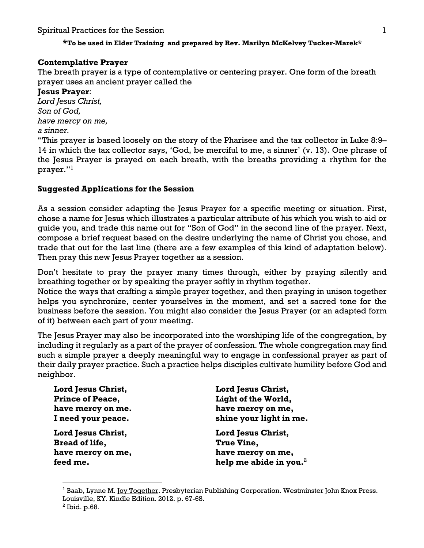## **\*To be used in Elder Training and prepared by Rev. Marilyn McKelvey Tucker-Marek\***

# **Contemplative Prayer**

The breath prayer is a type of contemplative or centering prayer. One form of the breath prayer uses an ancient prayer called the

## **Jesus Prayer**:

*Lord Jesus Christ, Son of God, have mercy on me, a sinner.*

"This prayer is based loosely on the story of the Pharisee and the tax collector in Luke 8:9– 14 in which the tax collector says, 'God, be merciful to me, a sinner' (v. 13). One phrase of the Jesus Prayer is prayed on each breath, with the breaths providing a rhythm for the prayer."1

# **Suggested Applications for the Session**

As a session consider adapting the Jesus Prayer for a specific meeting or situation. First, chose a name for Jesus which illustrates a particular attribute of his which you wish to aid or guide you, and trade this name out for "Son of God" in the second line of the prayer. Next, compose a brief request based on the desire underlying the name of Christ you chose, and trade that out for the last line (there are a few examples of this kind of adaptation below). Then pray this new Jesus Prayer together as a session.

Don't hesitate to pray the prayer many times through, either by praying silently and breathing together or by speaking the prayer softly in rhythm together.

Notice the ways that crafting a simple prayer together, and then praying in unison together helps you synchronize, center yourselves in the moment, and set a sacred tone for the business before the session. You might also consider the Jesus Prayer (or an adapted form of it) between each part of your meeting.

The Jesus Prayer may also be incorporated into the worshiping life of the congregation, by including it regularly as a part of the prayer of confession. The whole congregation may find such a simple prayer a deeply meaningful way to engage in confessional prayer as part of their daily prayer practice. Such a practice helps disciples cultivate humility before God and neighbor.

| <b>Lord Jesus Christ,</b> | Lord Jesus Christ,         |
|---------------------------|----------------------------|
| <b>Prince of Peace,</b>   | Light of the World,        |
| have mercy on me.         | have mercy on me,          |
| I need your peace.        | shine your light in me.    |
| <b>Lord Jesus Christ,</b> | Lord Jesus Christ,         |
| <b>Bread of life,</b>     | True Vine,                 |
| have mercy on me,         | have mercy on me,          |
| feed me.                  | help me abide in you. $^2$ |

<sup>&</sup>lt;sup>1</sup> Baab, Lynne M. <u>Joy Together</u>. Presbyterian Publishing Corporation. Westminster John Knox Press. Louisville, KY. Kindle Edition. 2012. p. 67-68.

<sup>2</sup> Ibid. p.68.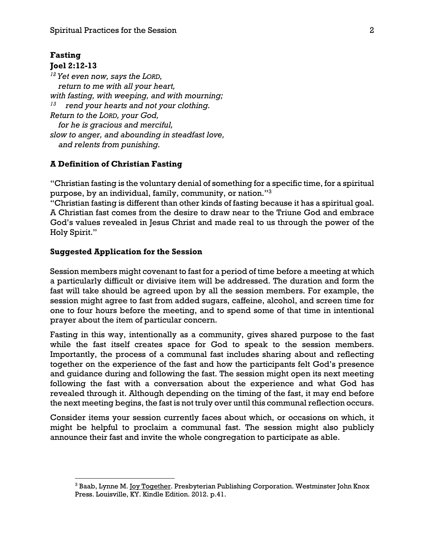### **Fasting Joel 2:12-13**

*<sup>12</sup> Yet even now, says the LORD, return to me with all your heart, with fasting, with weeping, and with mourning; 13 rend your hearts and not your clothing. Return to the LORD, your God, for he is gracious and merciful, slow to anger, and abounding in steadfast love, and relents from punishing.*

## **A Definition of Christian Fasting**

"Christian fasting is the voluntary denial of something for a specific time, for a spiritual purpose, by an individual, family, community, or nation."3

"Christian fasting is different than other kinds of fasting because it has a spiritual goal. A Christian fast comes from the desire to draw near to the Triune God and embrace God's values revealed in Jesus Christ and made real to us through the power of the Holy Spirit."

## **Suggested Application for the Session**

Session members might covenant to fast for a period of time before a meeting at which a particularly difficult or divisive item will be addressed. The duration and form the fast will take should be agreed upon by all the session members. For example, the session might agree to fast from added sugars, caffeine, alcohol, and screen time for one to four hours before the meeting, and to spend some of that time in intentional prayer about the item of particular concern.

Fasting in this way, intentionally as a community, gives shared purpose to the fast while the fast itself creates space for God to speak to the session members. Importantly, the process of a communal fast includes sharing about and reflecting together on the experience of the fast and how the participants felt God's presence and guidance during and following the fast. The session might open its next meeting following the fast with a conversation about the experience and what God has revealed through it. Although depending on the timing of the fast, it may end before the next meeting begins, the fast is not truly over until this communal reflection occurs.

Consider items your session currently faces about which, or occasions on which, it might be helpful to proclaim a communal fast. The session might also publicly announce their fast and invite the whole congregation to participate as able.

<sup>&</sup>lt;sup>3</sup> Baab, Lynne M. Joy Together. Presbyterian Publishing Corporation. Westminster John Knox Press. Louisville, KY. Kindle Edition. 2012. p.41.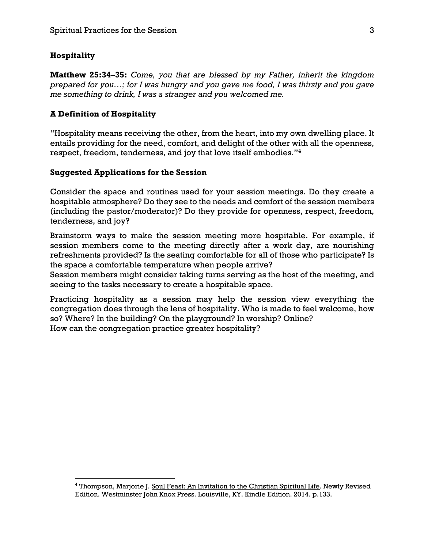### **Hospitality**

**Matthew 25:34–35:** *Come, you that are blessed by my Father, inherit the kingdom prepared for you…; for I was hungry and you gave me food, I was thirsty and you gave me something to drink, I was a stranger and you welcomed me.* 

### **A Definition of Hospitality**

"Hospitality means receiving the other, from the heart, into my own dwelling place. It entails providing for the need, comfort, and delight of the other with all the openness, respect, freedom, tenderness, and joy that love itself embodies."4

### **Suggested Applications for the Session**

Consider the space and routines used for your session meetings. Do they create a hospitable atmosphere? Do they see to the needs and comfort of the session members (including the pastor/moderator)? Do they provide for openness, respect, freedom, tenderness, and joy?

Brainstorm ways to make the session meeting more hospitable. For example, if session members come to the meeting directly after a work day, are nourishing refreshments provided? Is the seating comfortable for all of those who participate? Is the space a comfortable temperature when people arrive?

Session members might consider taking turns serving as the host of the meeting, and seeing to the tasks necessary to create a hospitable space.

Practicing hospitality as a session may help the session view everything the congregation does through the lens of hospitality. Who is made to feel welcome, how so? Where? In the building? On the playground? In worship? Online? How can the congregation practice greater hospitality?

<sup>&</sup>lt;sup>4</sup> Thompson, Marjorie J. Soul Feast: An Invitation to the Christian Spiritual Life. Newly Revised Edition. Westminster John Knox Press. Louisville, KY. Kindle Edition. 2014. p.133.